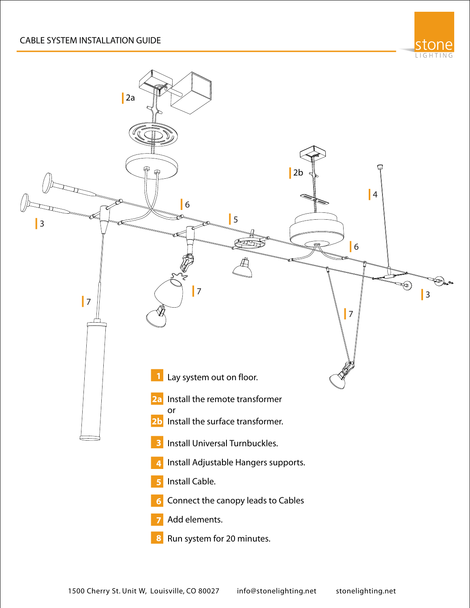